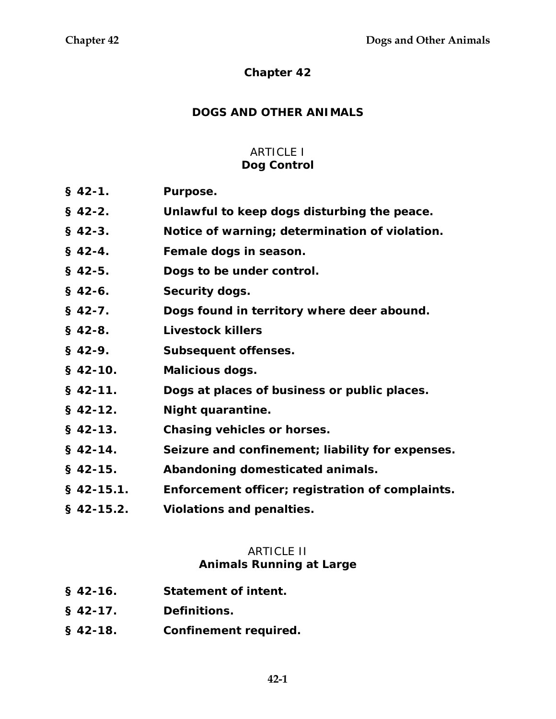### **Chapter 42**

### **DOGS AND OTHER ANIMALS**

# ARTICLE I

### **Dog Control**

- **§ 42-1. Purpose.**
- **§ 42-2. Unlawful to keep dogs disturbing the peace.**
- **§ 42-3. Notice of warning; determination of violation.**
- **§ 42-4. Female dogs in season.**
- **§ 42-5. Dogs to be under control.**
- **§ 42-6. Security dogs.**
- **§ 42-7. Dogs found in territory where deer abound.**
- **§ 42-8. Livestock killers**
- **§ 42-9. Subsequent offenses.**
- **§ 42-10. Malicious dogs.**
- **§ 42-11. Dogs at places of business or public places.**
- **§ 42-12. Night quarantine.**
- **§ 42-13. Chasing vehicles or horses.**
- **§ 42-14. Seizure and confinement; liability for expenses.**
- **§ 42-15. Abandoning domesticated animals.**
- **§ 42-15.1. Enforcement officer; registration of complaints.**
- **§ 42-15.2. Violations and penalties.**

### **ARTICLE II**

#### **Animals Running at Large**

- **§ 42-16. Statement of intent.**
- **§ 42-17. Definitions.**
- **§ 42-18. Confinement required.**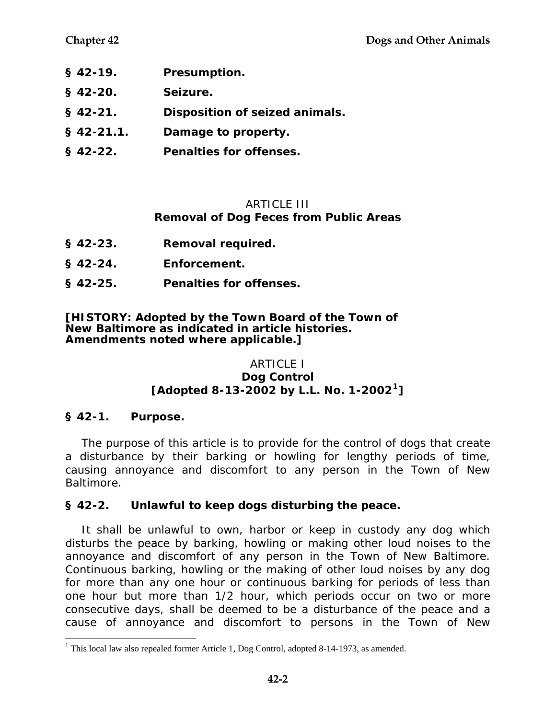- **§ 42-19. Presumption.**
- **§ 42-20. Seizure.**
- **§ 42-21. Disposition of seized animals.**
- **§ 42-21.1. Damage to property.**
- **§ 42-22. Penalties for offenses.**

### ARTICLE III

### **Removal of Dog Feces from Public Areas**

- **§ 42-23. Removal required.**
- **§ 42-24. Enforcement.**
- **§ 42-25. Penalties for offenses.**

#### **[HISTORY: Adopted by the Town Board of the Town of New Baltimore as indicated in article histories. Amendments noted where applicable.]**

# ARTICLE I

#### **Dog Control [Adopted 8-13-2002 by L.L. No. 1-2002[1](#page-1-0)]**

# **§ 42-1. Purpose.**

 $\overline{a}$ 

The purpose of this article is to provide for the control of dogs that create a disturbance by their barking or howling for lengthy periods of time, causing annoyance and discomfort to any person in the Town of New Baltimore.

# **§ 42-2. Unlawful to keep dogs disturbing the peace.**

It shall be unlawful to own, harbor or keep in custody any dog which disturbs the peace by barking, howling or making other loud noises to the annoyance and discomfort of any person in the Town of New Baltimore. Continuous barking, howling or the making of other loud noises by any dog for more than any one hour or continuous barking for periods of less than one hour but more than 1/2 hour, which periods occur on two or more consecutive days, shall be deemed to be a disturbance of the peace and a cause of annoyance and discomfort to persons in the Town of New

<span id="page-1-0"></span><sup>&</sup>lt;sup>1</sup> This local law also repealed former Article 1, Dog Control, adopted 8-14-1973, as amended.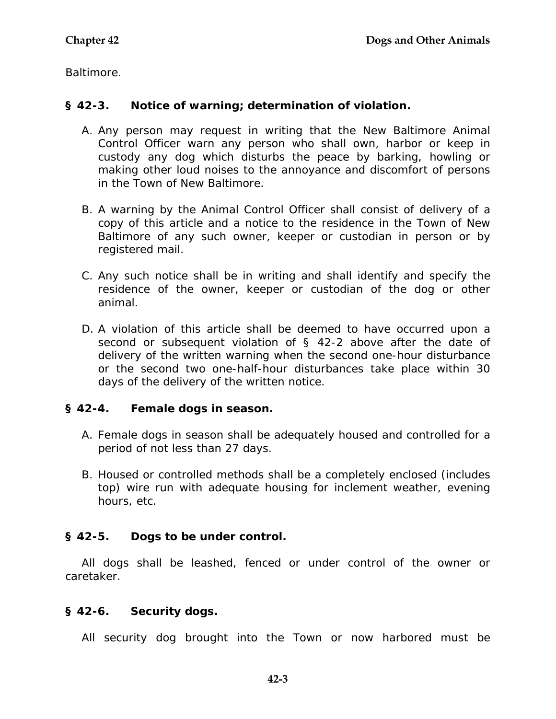Baltimore.

### **§ 42-3. Notice of warning; determination of violation.**

- A. Any person may request in writing that the New Baltimore Animal Control Officer warn any person who shall own, harbor or keep in custody any dog which disturbs the peace by barking, howling or making other loud noises to the annoyance and discomfort of persons in the Town of New Baltimore.
- B. A warning by the Animal Control Officer shall consist of delivery of a copy of this article and a notice to the residence in the Town of New Baltimore of any such owner, keeper or custodian in person or by registered mail.
- C. Any such notice shall be in writing and shall identify and specify the residence of the owner, keeper or custodian of the dog or other animal.
- D. A violation of this article shall be deemed to have occurred upon a second or subsequent violation of § 42-2 above after the date of delivery of the written warning when the second one-hour disturbance or the second two one-half-hour disturbances take place within 30 days of the delivery of the written notice.

# **§ 42-4. Female dogs in season.**

- A. Female dogs in season shall be adequately housed and controlled for a period of not less than 27 days.
- B. Housed or controlled methods shall be a completely enclosed (includes top) wire run with adequate housing for inclement weather, evening hours, etc.

# **§ 42-5. Dogs to be under control.**

All dogs shall be leashed, fenced or under control of the owner or caretaker.

# **§ 42-6. Security dogs.**

All security dog brought into the Town or now harbored must be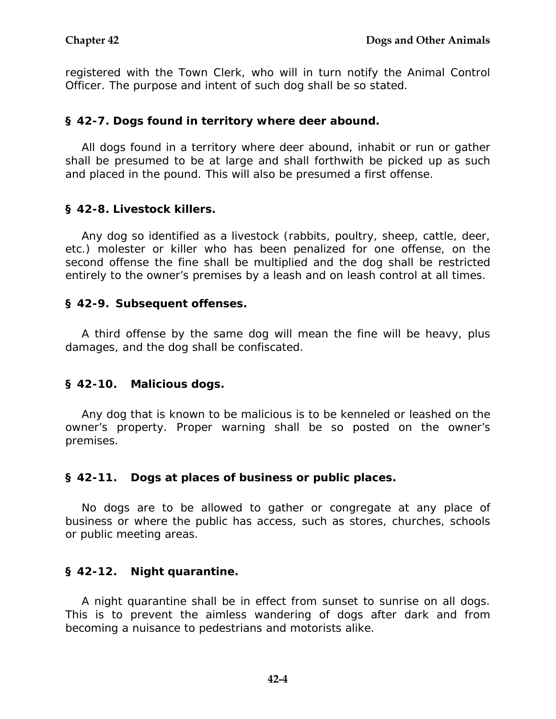registered with the Town Clerk, who will in turn notify the Animal Control Officer. The purpose and intent of such dog shall be so stated.

### **§ 42-7. Dogs found in territory where deer abound.**

All dogs found in a territory where deer abound, inhabit or run or gather shall be presumed to be at large and shall forthwith be picked up as such and placed in the pound. This will also be presumed a first offense.

### **§ 42-8. Livestock killers.**

Any dog so identified as a livestock (rabbits, poultry, sheep, cattle, deer, etc.) molester or killer who has been penalized for one offense, on the second offense the fine shall be multiplied and the dog shall be restricted entirely to the owner's premises by a leash and on leash control at all times.

### **§ 42-9. Subsequent offenses.**

A third offense by the same dog will mean the fine will be heavy, plus damages, and the dog shall be confiscated.

### **§ 42-10. Malicious dogs.**

Any dog that is known to be malicious is to be kenneled or leashed on the owner's property. Proper warning shall be so posted on the owner's premises.

### **§ 42-11. Dogs at places of business or public places.**

No dogs are to be allowed to gather or congregate at any place of business or where the public has access, such as stores, churches, schools or public meeting areas.

# **§ 42-12. Night quarantine.**

A night quarantine shall be in effect from sunset to sunrise on all dogs. This is to prevent the aimless wandering of dogs after dark and from becoming a nuisance to pedestrians and motorists alike.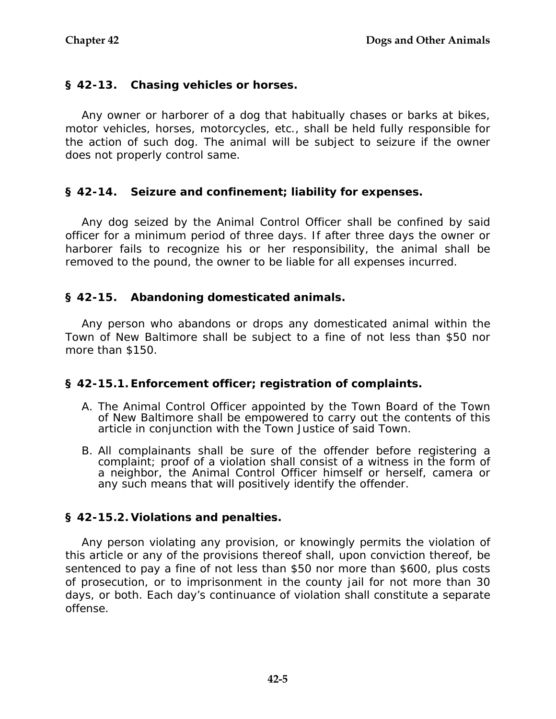### **§ 42-13. Chasing vehicles or horses.**

Any owner or harborer of a dog that habitually chases or barks at bikes, motor vehicles, horses, motorcycles, etc., shall be held fully responsible for the action of such dog. The animal will be subject to seizure if the owner does not properly control same.

### **§ 42-14. Seizure and confinement; liability for expenses.**

Any dog seized by the Animal Control Officer shall be confined by said officer for a minimum period of three days. If after three days the owner or harborer fails to recognize his or her responsibility, the animal shall be removed to the pound, the owner to be liable for all expenses incurred.

### **§ 42-15. Abandoning domesticated animals.**

Any person who abandons or drops any domesticated animal within the Town of New Baltimore shall be subject to a fine of not less than \$50 nor more than \$150.

### **§ 42-15.1. Enforcement officer; registration of complaints.**

- A. The Animal Control Officer appointed by the Town Board of the Town of New Baltimore shall be empowered to carry out the contents of this article in conjunction with the Town Justice of said Town.
- B. All complainants shall be sure of the offender before registering a complaint; proof of a violation shall consist of a witness in the form of a neighbor, the Animal Control Officer himself or herself, camera or any such means that will positively identify the offender.

### **§ 42-15.2. Violations and penalties.**

Any person violating any provision, or knowingly permits the violation of this article or any of the provisions thereof shall, upon conviction thereof, be sentenced to pay a fine of not less than \$50 nor more than \$600, plus costs of prosecution, or to imprisonment in the county jail for not more than 30 days, or both. Each day's continuance of violation shall constitute a separate offense.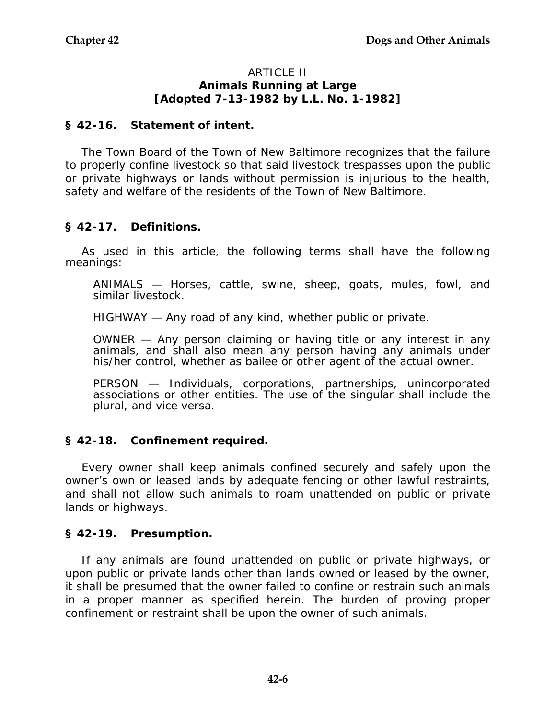#### ARTICLE II **Animals Running at Large [Adopted 7-13-1982 by L.L. No. 1-1982]**

#### **§ 42-16. Statement of intent.**

The Town Board of the Town of New Baltimore recognizes that the failure to properly confine livestock so that said livestock trespasses upon the public or private highways or lands without permission is injurious to the health, safety and welfare of the residents of the Town of New Baltimore.

### **§ 42-17. Definitions.**

As used in this article, the following terms shall have the following meanings:

ANIMALS — Horses, cattle, swine, sheep, goats, mules, fowl, and similar livestock.

HIGHWAY — Any road of any kind, whether public or private.

OWNER — Any person claiming or having title or any interest in any animals, and shall also mean any person having any animals under his/her control, whether as bailee or other agent of the actual owner.

PERSON — Individuals, corporations, partnerships, unincorporated associations or other entities. The use of the singular shall include the plural, and vice versa.

### **§ 42-18. Confinement required.**

Every owner shall keep animals confined securely and safely upon the owner's own or leased lands by adequate fencing or other lawful restraints, and shall not allow such animals to roam unattended on public or private lands or highways.

### **§ 42-19. Presumption.**

If any animals are found unattended on public or private highways, or upon public or private lands other than lands owned or leased by the owner, it shall be presumed that the owner failed to confine or restrain such animals in a proper manner as specified herein. The burden of proving proper confinement or restraint shall be upon the owner of such animals.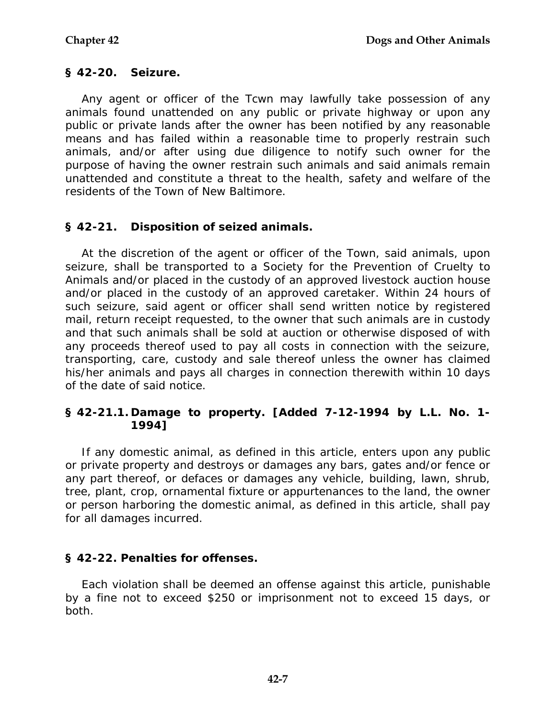### **§ 42-20. Seizure.**

Any agent or officer of the Tcwn may lawfully take possession of any animals found unattended on any public or private highway or upon any public or private lands after the owner has been notified by any reasonable means and has failed within a reasonable time to properly restrain such animals, and/or after using due diligence to notify such owner for the purpose of having the owner restrain such animals and said animals remain unattended and constitute a threat to the health, safety and welfare of the residents of the Town of New Baltimore.

### **§ 42-21. Disposition of seized animals.**

At the discretion of the agent or officer of the Town, said animals, upon seizure, shall be transported to a Society for the Prevention of Cruelty to Animals and/or placed in the custody of an approved livestock auction house and/or placed in the custody of an approved caretaker. Within 24 hours of such seizure, said agent or officer shall send written notice by registered mail, return receipt requested, to the owner that such animals are in custody and that such animals shall be sold at auction or otherwise disposed of with any proceeds thereof used to pay all costs in connection with the seizure, transporting, care, custody and sale thereof unless the owner has claimed his/her animals and pays all charges in connection therewith within 10 days of the date of said notice.

### **§ 42-21.1. Damage to property. [Added 7-12-1994 by L.L. No. 1- 1994]**

If any domestic animal, as defined in this article, enters upon any public or private property and destroys or damages any bars, gates and/or fence or any part thereof, or defaces or damages any vehicle, building, lawn, shrub, tree, plant, crop, ornamental fixture or appurtenances to the land, the owner or person harboring the domestic animal, as defined in this article, shall pay for all damages incurred.

# **§ 42-22. Penalties for offenses.**

Each violation shall be deemed an offense against this article, punishable by a fine not to exceed \$250 or imprisonment not to exceed 15 days, or both.